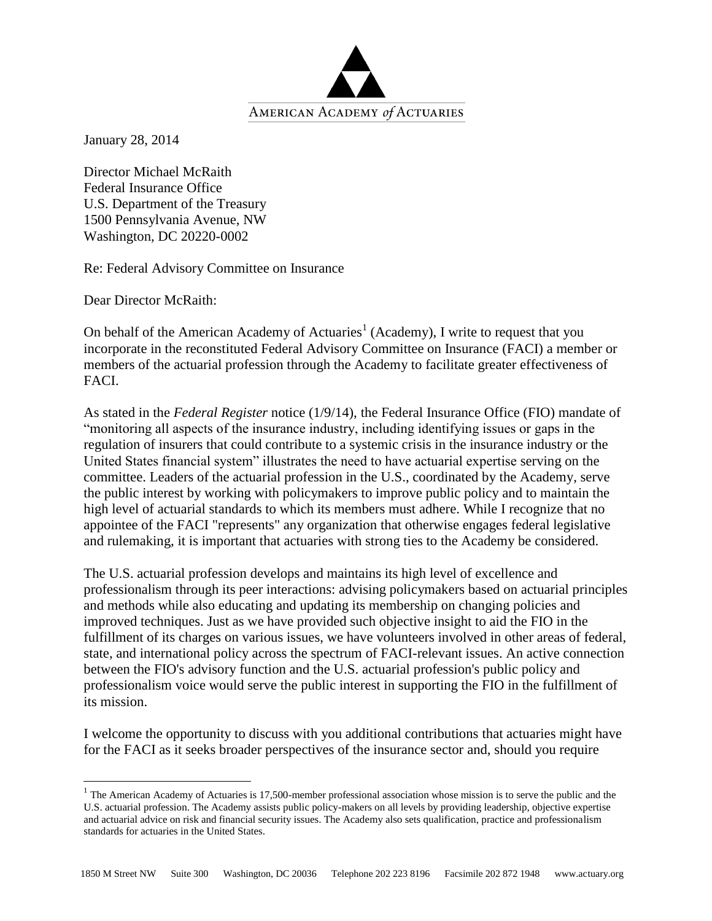

January 28, 2014

Director Michael McRaith Federal Insurance Office U.S. Department of the Treasury 1500 Pennsylvania Avenue, NW Washington, DC 20220-0002

Re: Federal Advisory Committee on Insurance

Dear Director McRaith:

 $\overline{a}$ 

On behalf of the American Academy of Actuaries<sup>1</sup> (Academy), I write to request that you incorporate in the reconstituted Federal Advisory Committee on Insurance (FACI) a member or members of the actuarial profession through the Academy to facilitate greater effectiveness of FACI.

As stated in the *Federal Register* notice (1/9/14), the Federal Insurance Office (FIO) mandate of "monitoring all aspects of the insurance industry, including identifying issues or gaps in the regulation of insurers that could contribute to a systemic crisis in the insurance industry or the United States financial system" illustrates the need to have actuarial expertise serving on the committee. Leaders of the actuarial profession in the U.S., coordinated by the Academy, serve the public interest by working with policymakers to improve public policy and to maintain the high level of actuarial standards to which its members must adhere. While I recognize that no appointee of the FACI "represents" any organization that otherwise engages federal legislative and rulemaking, it is important that actuaries with strong ties to the Academy be considered.

The U.S. actuarial profession develops and maintains its high level of excellence and professionalism through its peer interactions: advising policymakers based on actuarial principles and methods while also educating and updating its membership on changing policies and improved techniques. Just as we have provided such objective insight to aid the FIO in the fulfillment of its charges on various issues, we have volunteers involved in other areas of federal, state, and international policy across the spectrum of FACI-relevant issues. An active connection between the FIO's advisory function and the U.S. actuarial profession's public policy and professionalism voice would serve the public interest in supporting the FIO in the fulfillment of its mission.

I welcome the opportunity to discuss with you additional contributions that actuaries might have for the FACI as it seeks broader perspectives of the insurance sector and, should you require

 $1$  The American Academy of Actuaries is 17,500-member professional association whose mission is to serve the public and the U.S. actuarial profession. The Academy assists public policy-makers on all levels by providing leadership, objective expertise and actuarial advice on risk and financial security issues. The Academy also sets qualification, practice and professionalism standards for actuaries in the United States.